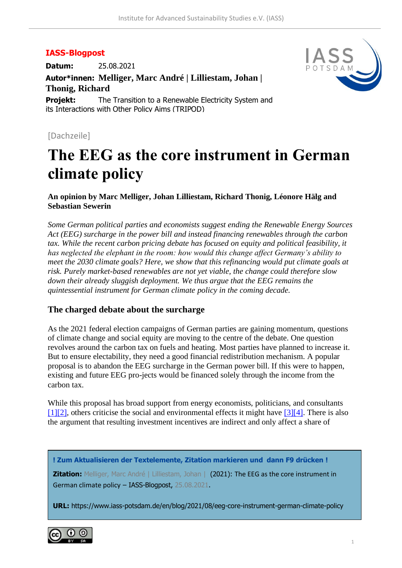## **IASS-Blogpost**

**Datum:** 25.08.2021

**Autor\*innen: Melliger, Marc André | Lilliestam, Johan | Thonig, Richard**

**Projekt:** The Transition to a Renewable Electricity System and its Interactions with Other Policy Aims (TRIPOD)



## [Dachzeile]

# **The EEG as the core instrument in German climate policy**

#### **An opinion by Marc Melliger, Johan Lilliestam, Richard Thonig, Léonore Hälg and Sebastian Sewerin**

*Some German political parties and economists suggest ending the Renewable Energy Sources Act (EEG) surcharge in the power bill and instead financing renewables through the carbon tax. While the recent carbon pricing debate has focused on equity and political feasibility, it has neglected the elephant in the room: how would this change affect Germany's ability to meet the 2030 climate goals? Here, we show that this refinancing would put climate goals at risk. Purely market-based renewables are not yet viable, the change could therefore slow down their already sluggish deployment. We thus argue that the EEG remains the quintessential instrument for German climate policy in the coming decade.*

### **The charged debate about the surcharge**

As the 2021 federal election campaigns of German parties are gaining momentum, questions of climate change and social equity are moving to the centre of the debate. One question revolves around the carbon tax on fuels and heating. Most parties have planned to increase it. But to ensure electability, they need a good financial redistribution mechanism. A popular proposal is to abandon the EEG surcharge in the German power bill. If this were to happen, existing and future EEG pro-jects would be financed solely through the income from the carbon tax.

While this proposal has broad support from energy economists, politicians, and consultants [\[1\]](https://www.iass-potsdam.de/en/blog/2021/08/eeg-core-instrument-german-climate-policy#fn01)[\[2\],](https://www.iass-potsdam.de/en/blog/2021/08/eeg-core-instrument-german-climate-policy#fn02) others criticise the social and environmental effects it might have [\[3\]](https://www.iass-potsdam.de/en/blog/2021/08/eeg-core-instrument-german-climate-policy#fn03)[\[4\].](https://www.iass-potsdam.de/en/blog/2021/08/eeg-core-instrument-german-climate-policy#fn04) There is also the argument that resulting investment incentives are indirect and only affect a share of

**! Zum Aktualisieren der Textelemente, Zitation markieren und dann F9 drücken !**

**Zitation:** Melliger, Marc André | Lilliestam, Johan | (2021): The EEG as the core instrument in German climate policy – IASS-Blogpost, 25.08.2021.

**URL:** https://www.iass-potsdam.de/en/blog/2021/08/eeg-core-instrument-german-climate-policy

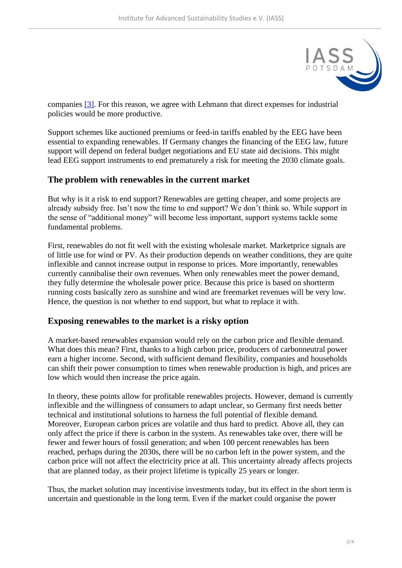

companies [\[3\].](https://www.iass-potsdam.de/en/blog/2021/08/eeg-core-instrument-german-climate-policy#fn03) For this reason, we agree with Lehmann that direct expenses for industrial policies would be more productive.

Support schemes like auctioned premiums or feed-in tariffs enabled by the EEG have been essential to expanding renewables. If Germany changes the financing of the EEG law, future support will depend on federal budget negotiations and EU state aid decisions. This might lead EEG support instruments to end prematurely a risk for meeting the 2030 climate goals.

## **The problem with renewables in the current market**

But why is it a risk to end support? Renewables are getting cheaper, and some projects are already subsidy free. Isn't now the time to end support? We don't think so. While support in the sense of "additional money" will become less important, support systems tackle some fundamental problems.

First, renewables do not fit well with the existing wholesale market. Marketprice signals are of little use for wind or PV. As their production depends on weather conditions, they are quite inflexible and cannot increase output in response to prices. More importantly, renewables currently cannibalise their own revenues. When only renewables meet the power demand, they fully determine the wholesale power price. Because this price is based on shortterm running costs basically zero as sunshine and wind are freemarket revenues will be very low. Hence, the question is not whether to end support, but what to replace it with.

### **Exposing renewables to the market is a risky option**

A market-based renewables expansion would rely on the carbon price and flexible demand. What does this mean? First, thanks to a high carbon price, producers of carbonneutral power earn a higher income. Second, with sufficient demand flexibility, companies and households can shift their power consumption to times when renewable production is high, and prices are low which would then increase the price again.

In theory, these points allow for profitable renewables projects. However, demand is currently inflexible and the willingness of consumers to adapt unclear, so Germany first needs better technical and institutional solutions to harness the full potential of flexible demand. Moreover, European carbon prices are volatile and thus hard to predict. Above all, they can only affect the price if there is carbon in the system. As renewables take over, there will be fewer and fewer hours of fossil generation; and when 100 percent renewables has been reached, perhaps during the 2030s, there will be no carbon left in the power system, and the carbon price will not affect the electricity price at all. This uncertainty already affects projects that are planned today, as their project lifetime is typically 25 years or longer.

Thus, the market solution may incentivise investments today, but its effect in the short term is uncertain and questionable in the long term. Even if the market could organise the power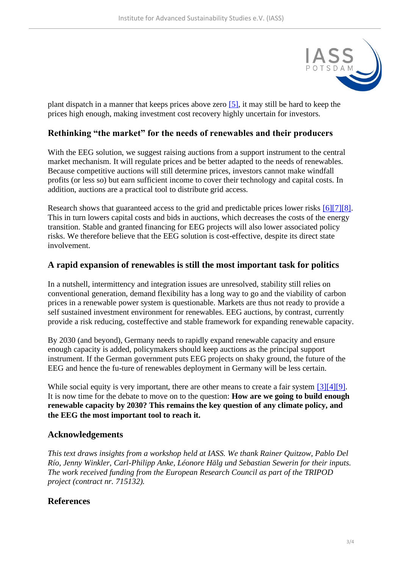

plant dispatch in a manner that keeps prices above zero [\[5\],](https://www.iass-potsdam.de/en/blog/2021/08/eeg-core-instrument-german-climate-policy#fn05) it may still be hard to keep the prices high enough, making investment cost recovery highly uncertain for investors.

## **Rethinking "the market" for the needs of renewables and their producers**

With the EEG solution, we suggest raising auctions from a support instrument to the central market mechanism. It will regulate prices and be better adapted to the needs of renewables. Because competitive auctions will still determine prices, investors cannot make windfall profits (or less so) but earn sufficient income to cover their technology and capital costs. In addition, auctions are a practical tool to distribute grid access.

Research shows that guaranteed access to the grid and predictable prices lower risks [\[6\]](https://www.iass-potsdam.de/en/blog/2021/08/eeg-core-instrument-german-climate-policy#fn06)[\[7\]](https://www.iass-potsdam.de/en/blog/2021/08/eeg-core-instrument-german-climate-policy#fn07)[\[8\].](https://www.iass-potsdam.de/en/blog/2021/08/eeg-core-instrument-german-climate-policy#fn08) This in turn lowers capital costs and bids in auctions, which decreases the costs of the energy transition. Stable and granted financing for EEG projects will also lower associated policy risks. We therefore believe that the EEG solution is cost-effective, despite its direct state involvement.

### **A rapid expansion of renewables is still the most important task for politics**

In a nutshell, intermittency and integration issues are unresolved, stability still relies on conventional generation, demand flexibility has a long way to go and the viability of carbon prices in a renewable power system is questionable. Markets are thus not ready to provide a self sustained investment environment for renewables. EEG auctions, by contrast, currently provide a risk reducing, costeffective and stable framework for expanding renewable capacity.

By 2030 (and beyond), Germany needs to rapidly expand renewable capacity and ensure enough capacity is added, policymakers should keep auctions as the principal support instrument. If the German government puts EEG projects on shaky ground, the future of the EEG and hence the fu-ture of renewables deployment in Germany will be less certain.

While social equity is very important, there are other means to create a fair system [\[3\]](https://www.iass-potsdam.de/en/blog/2021/08/eeg-core-instrument-german-climate-policy#fn03)[\[4\]](https://www.iass-potsdam.de/en/blog/2021/08/eeg-core-instrument-german-climate-policy#fn04)[\[9\].](https://www.iass-potsdam.de/en/blog/2021/08/eeg-core-instrument-german-climate-policy#fn09) It is now time for the debate to move on to the question: **How are we going to build enough renewable capacity by 2030? This remains the key question of any climate policy, and the EEG the most important tool to reach it.** 

### **Acknowledgements**

*This text draws insights from a workshop held at IASS. We thank Rainer Quitzow, Pablo Del Río, Jenny Winkler, Carl-Philipp Anke, Léonore Hälg und Sebastian Sewerin for their inputs. The work received funding from the European Research Council as part of the TRIPOD project (contract nr. 715132).*

### **References**